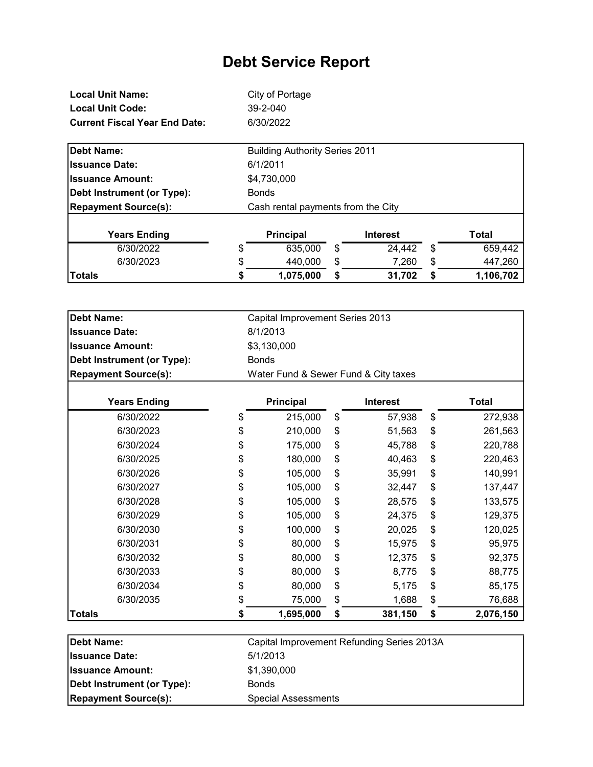| <b>Local Unit Name:</b>              | City of Portage |
|--------------------------------------|-----------------|
| <b>Local Unit Code:</b>              | 39-2-040        |
| <b>Current Fiscal Year End Date:</b> | 6/30/2022       |

| Debt Name:                  | <b>Building Authority Series 2011</b> |  |
|-----------------------------|---------------------------------------|--|
| <b>Issuance Date:</b>       | 6/1/2011                              |  |
| <b>Issuance Amount:</b>     | \$4,730,000                           |  |
| Debt Instrument (or Type):  | <b>Bonds</b>                          |  |
| <b>Repayment Source(s):</b> | Cash rental payments from the City    |  |
|                             |                                       |  |

| <b>Years Ending</b> | <b>Principal</b> |    | Interest |   | Total     |
|---------------------|------------------|----|----------|---|-----------|
| 6/30/2022           | 635,000          | \$ | 24,442   | S | 659,442   |
| 6/30/2023           | 440.000          | \$ | 7,260    |   | 447,260   |
| <b>Totals</b>       | 1.075.000        | S  | 31,702   | S | 1,106,702 |

| <b>Debt Name:</b>           | Capital Improvement Series 2013      |                  |    |                 |    |              |
|-----------------------------|--------------------------------------|------------------|----|-----------------|----|--------------|
| <b>Issuance Date:</b>       |                                      | 8/1/2013         |    |                 |    |              |
| <b>Issuance Amount:</b>     |                                      | \$3,130,000      |    |                 |    |              |
| Debt Instrument (or Type):  | <b>Bonds</b>                         |                  |    |                 |    |              |
| <b>Repayment Source(s):</b> | Water Fund & Sewer Fund & City taxes |                  |    |                 |    |              |
| <b>Years Ending</b>         |                                      | <b>Principal</b> |    | <b>Interest</b> |    | <b>Total</b> |
| 6/30/2022                   | \$                                   | 215,000          | \$ | 57,938          | \$ | 272,938      |
| 6/30/2023                   | \$                                   | 210,000          | \$ | 51,563          | \$ | 261,563      |
| 6/30/2024                   | \$                                   | 175,000          | \$ | 45,788          | \$ | 220,788      |
| 6/30/2025                   | \$                                   | 180,000          | \$ | 40,463          | \$ | 220,463      |
| 6/30/2026                   | \$                                   | 105,000          | \$ | 35,991          | \$ | 140,991      |
| 6/30/2027                   | \$                                   | 105,000          | \$ | 32,447          | \$ | 137,447      |
| 6/30/2028                   | \$                                   | 105,000          | \$ | 28,575          | \$ | 133,575      |
| 6/30/2029                   | \$                                   | 105,000          | \$ | 24,375          | \$ | 129,375      |
| 6/30/2030                   | \$                                   | 100,000          | \$ | 20,025          | \$ | 120,025      |
| 6/30/2031                   | \$                                   | 80,000           | \$ | 15,975          | \$ | 95,975       |
| 6/30/2032                   | \$                                   | 80,000           | \$ | 12,375          | \$ | 92,375       |
| 6/30/2033                   | \$                                   | 80,000           | \$ | 8,775           | \$ | 88,775       |
| 6/30/2034                   | \$                                   | 80,000           | \$ | 5,175           | \$ | 85,175       |
| 6/30/2035                   | \$                                   | 75,000           | \$ | 1,688           | \$ | 76,688       |
| <b>Totals</b>               | \$                                   | 1,695,000        | \$ | 381,150         | \$ | 2,076,150    |

| Debt Instrument (or Type):<br><b>Repayment Source(s):</b> | <b>Bonds</b><br><b>Special Assessments</b> |
|-----------------------------------------------------------|--------------------------------------------|
| <b>Issuance Amount:</b>                                   | \$1,390,000                                |
| <b>Ilssuance Date:</b>                                    | 5/1/2013                                   |
| Debt Name:                                                | Capital Improvement Refunding Series 2013A |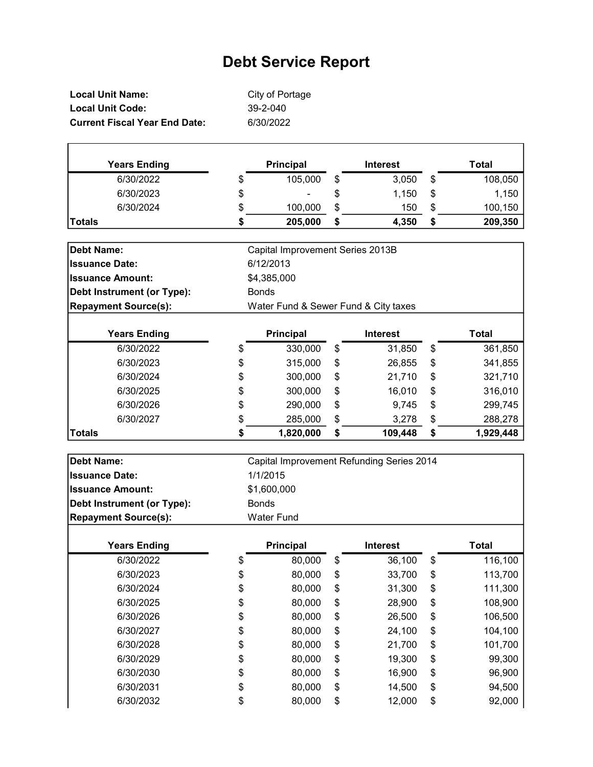| Local Unit Name:                     | City of Portage |
|--------------------------------------|-----------------|
| <b>Local Unit Code:</b>              | $39 - 2 - 040$  |
| <b>Current Fiscal Year End Date:</b> | 6/30/2022       |

| <b>Years Ending</b> | <b>Principal</b> |    | <b>Interest</b> |    | Total   |
|---------------------|------------------|----|-----------------|----|---------|
| 6/30/2022           | \$<br>105,000    | \$ | 3,050           | \$ | 108,050 |
| 6/30/2023           | \$<br>۰          | \$ | 1,150           | \$ | 1,150   |
| 6/30/2024           | \$<br>100,000    | \$ | 150             | \$ | 100,150 |
| Totals              | 205,000          | S  | 4,350           | S  | 209,350 |

| <b>Debt Name:</b>           | Capital Improvement Series 2013B |                                      |    |                 |    |              |
|-----------------------------|----------------------------------|--------------------------------------|----|-----------------|----|--------------|
| <b>Issuance Date:</b>       | 6/12/2013                        |                                      |    |                 |    |              |
| <b>Issuance Amount:</b>     | \$4,385,000                      |                                      |    |                 |    |              |
| Debt Instrument (or Type):  | <b>Bonds</b>                     |                                      |    |                 |    |              |
| <b>Repayment Source(s):</b> |                                  | Water Fund & Sewer Fund & City taxes |    |                 |    |              |
| <b>Years Ending</b>         |                                  | <b>Principal</b>                     |    | <b>Interest</b> |    | <b>Total</b> |
| 6/30/2022                   | \$                               | 330,000                              | \$ | 31,850          | \$ | 361,850      |
| 6/30/2023                   | \$                               | 315,000                              | \$ | 26,855          | \$ | 341,855      |
| 6/30/2024                   | \$                               | 300,000                              | \$ | 21,710          | \$ | 321,710      |
| 6/30/2025                   | \$                               | 300,000                              | \$ | 16,010          | \$ | 316,010      |
| 6/30/2026                   | \$                               | 290,000                              | \$ | 9,745           | \$ | 299,745      |
| 6/30/2027                   | \$                               | 285,000                              | \$ | 3,278           | \$ | 288,278      |
| Totals                      | \$                               | 1,820,000                            | \$ | 109,448         | \$ | 1,929,448    |

| <b>Debt Name:</b>                 | Capital Improvement Refunding Series 2014 |                  |    |                 |    |         |
|-----------------------------------|-------------------------------------------|------------------|----|-----------------|----|---------|
| <b>Issuance Date:</b>             | 1/1/2015                                  |                  |    |                 |    |         |
| <b>Issuance Amount:</b>           |                                           | \$1,600,000      |    |                 |    |         |
| <b>Debt Instrument (or Type):</b> |                                           | <b>Bonds</b>     |    |                 |    |         |
| <b>Repayment Source(s):</b>       | <b>Water Fund</b>                         |                  |    |                 |    |         |
| <b>Years Ending</b>               |                                           | <b>Principal</b> |    | <b>Interest</b> |    | Total   |
| 6/30/2022                         | \$                                        | 80,000           | \$ | 36,100          | \$ | 116,100 |
| 6/30/2023                         | \$                                        | 80,000           | \$ | 33,700          | \$ | 113,700 |
| 6/30/2024                         | \$                                        | 80,000           | \$ | 31,300          | \$ | 111,300 |
| 6/30/2025                         | \$                                        | 80,000           | \$ | 28,900          | \$ | 108,900 |
| 6/30/2026                         | \$                                        | 80,000           | \$ | 26,500          | \$ | 106,500 |
| 6/30/2027                         | \$                                        | 80,000           | \$ | 24,100          | \$ | 104,100 |
| 6/30/2028                         | \$                                        | 80,000           | \$ | 21,700          | \$ | 101,700 |
| 6/30/2029                         | \$                                        | 80,000           | \$ | 19,300          | \$ | 99,300  |
| 6/30/2030                         | \$                                        | 80,000           | \$ | 16,900          | \$ | 96,900  |
| 6/30/2031                         | \$                                        | 80,000           | \$ | 14,500          | \$ | 94,500  |
| 6/30/2032                         | \$                                        | 80,000           | \$ | 12,000          | \$ | 92,000  |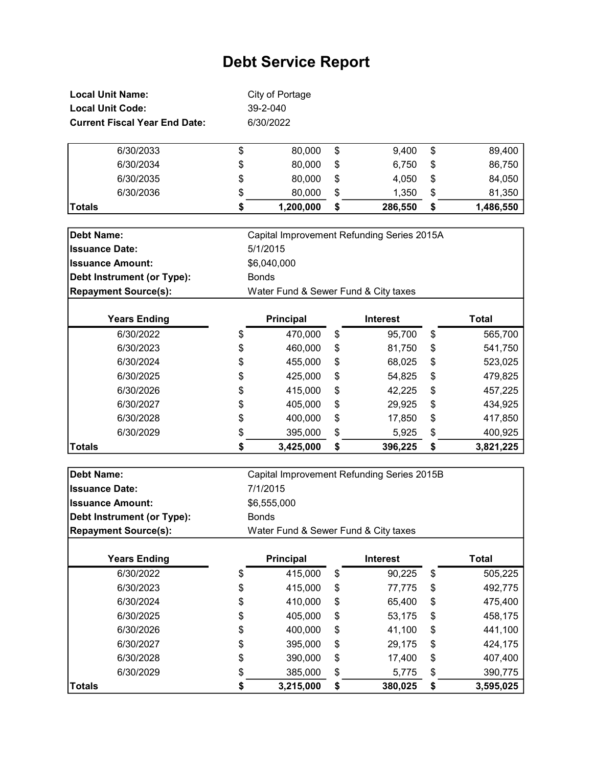| <b>Local Unit Name:</b>              |                | City of Portage |             |              |
|--------------------------------------|----------------|-----------------|-------------|--------------|
| <b>Local Unit Code:</b>              | $39 - 2 - 040$ |                 |             |              |
| <b>Current Fiscal Year End Date:</b> |                | 6/30/2022       |             |              |
| 6/30/2033                            | S              | 80.000          | \$<br>9.400 | \$<br>89,400 |
| 6/30/2034                            | \$             | 80,000          | \$<br>6.750 | \$<br>86,750 |

| 6/30/2034     | \$<br>80,000 | S  | 6,750   | \$<br>86,750    |
|---------------|--------------|----|---------|-----------------|
| 6/30/2035     | \$<br>80,000 | \$ | 4.050   | \$<br>84,050    |
| 6/30/2036     | \$<br>80,000 | \$ | 1.350   | 81,350          |
| <b>Totals</b> | 1,200,000    | \$ | 286,550 | \$<br>1,486,550 |

| Debt Name:                  | Capital Improvement Refunding Series 2015A |
|-----------------------------|--------------------------------------------|
| <b>Issuance Date:</b>       | 5/1/2015                                   |
| <b>Issuance Amount:</b>     | \$6,040,000                                |
| Debt Instrument (or Type):  | <b>Bonds</b>                               |
| <b>Repayment Source(s):</b> | Water Fund & Sewer Fund & City taxes       |
|                             |                                            |

| <b>Years Ending</b> |    | <b>Principal</b> | <b>Interest</b> | Total           |
|---------------------|----|------------------|-----------------|-----------------|
| 6/30/2022           | \$ | 470,000          | \$<br>95,700    | \$<br>565,700   |
| 6/30/2023           | \$ | 460,000          | \$<br>81,750    | \$<br>541,750   |
| 6/30/2024           | \$ | 455,000          | \$<br>68,025    | \$<br>523,025   |
| 6/30/2025           | \$ | 425,000          | \$<br>54,825    | \$<br>479,825   |
| 6/30/2026           | \$ | 415,000          | \$<br>42,225    | \$<br>457,225   |
| 6/30/2027           | \$ | 405,000          | \$<br>29,925    | \$<br>434,925   |
| 6/30/2028           | \$ | 400,000          | \$<br>17,850    | \$<br>417,850   |
| 6/30/2029           | \$ | 395,000          | \$<br>5,925     | \$<br>400,925   |
| <b>Totals</b>       | S  | 3,425,000        | \$<br>396,225   | \$<br>3,821,225 |

| <b>Debt Name:</b>                 | Capital Improvement Refunding Series 2015B |                                      |    |                 |    |           |
|-----------------------------------|--------------------------------------------|--------------------------------------|----|-----------------|----|-----------|
| <b>Issuance Date:</b>             |                                            | 7/1/2015                             |    |                 |    |           |
| <b>Issuance Amount:</b>           |                                            | \$6,555,000                          |    |                 |    |           |
| <b>Debt Instrument (or Type):</b> |                                            | <b>Bonds</b>                         |    |                 |    |           |
| <b>Repayment Source(s):</b>       |                                            | Water Fund & Sewer Fund & City taxes |    |                 |    |           |
|                                   |                                            |                                      |    |                 |    |           |
| <b>Years Ending</b>               |                                            | <b>Principal</b>                     |    | <b>Interest</b> |    | Total     |
| 6/30/2022                         | \$                                         | 415,000                              | \$ | 90,225          | \$ | 505,225   |
| 6/30/2023                         | \$                                         | 415,000                              | \$ | 77,775          | \$ | 492,775   |
| 6/30/2024                         | \$                                         | 410,000                              | \$ | 65,400          | \$ | 475,400   |
| 6/30/2025                         | \$                                         | 405,000                              | \$ | 53,175          | \$ | 458,175   |
| 6/30/2026                         | \$                                         | 400,000                              | \$ | 41,100          | \$ | 441,100   |
| 6/30/2027                         | \$                                         | 395,000                              | \$ | 29,175          | \$ | 424,175   |
| 6/30/2028                         | \$                                         | 390,000                              | \$ | 17,400          | \$ | 407,400   |
| 6/30/2029                         | \$                                         | 385,000                              | \$ | 5,775           | \$ | 390,775   |
| <b>Totals</b>                     | \$                                         | 3,215,000                            | \$ | 380,025         | \$ | 3,595,025 |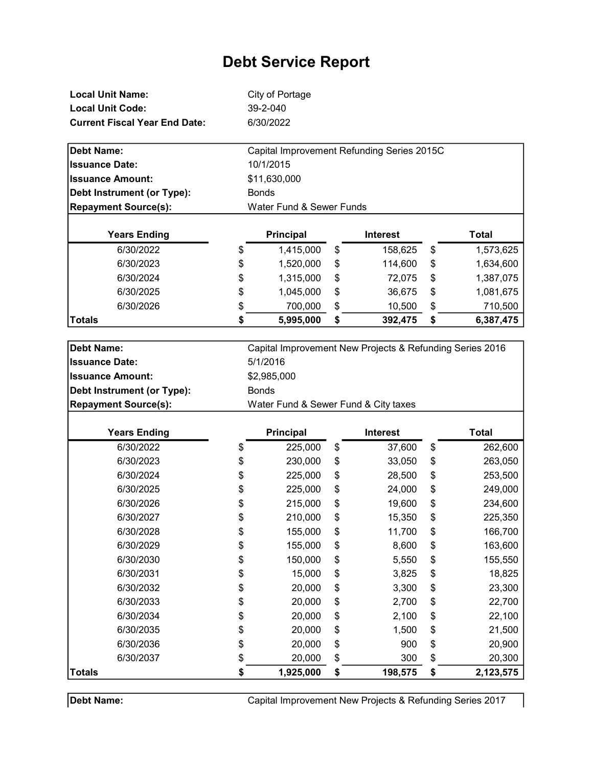| Local Unit Name:                     | City of Portage |
|--------------------------------------|-----------------|
| Local Unit Code:                     | $39 - 2 - 040$  |
| <b>Current Fiscal Year End Date:</b> | 6/30/2022       |

| <b>Debt Name:</b>           | Capital Improvement Refunding Series 2015C |                  |    |                 |     |           |
|-----------------------------|--------------------------------------------|------------------|----|-----------------|-----|-----------|
| <b>Issuance Date:</b>       |                                            | 10/1/2015        |    |                 |     |           |
| <b>Issuance Amount:</b>     |                                            | \$11,630,000     |    |                 |     |           |
| Debt Instrument (or Type):  | <b>Bonds</b>                               |                  |    |                 |     |           |
| <b>Repayment Source(s):</b> | Water Fund & Sewer Funds                   |                  |    |                 |     |           |
|                             |                                            |                  |    |                 |     |           |
| <b>Years Ending</b>         |                                            | <b>Principal</b> |    | <b>Interest</b> |     | Total     |
| 6/30/2022                   | \$                                         | 1,415,000        | \$ | 158,625         | \$  | 1,573,625 |
| 6/30/2023                   | \$                                         | 1,520,000        | \$ | 114,600         | \$  | 1,634,600 |
| 6/30/2024                   | \$                                         | 1.315.000        | \$ | 72.075          | \$. | 1.387.075 |

| <b>Years Ending</b> |    | <b>Principal</b> | <b>Interest</b> |    | Total     |
|---------------------|----|------------------|-----------------|----|-----------|
| 6/30/2022           | \$ | 1,415,000        | \$<br>158,625   | \$ | 1,573,625 |
| 6/30/2023           | \$ | 1,520,000        | \$<br>114,600   | \$ | 1,634,600 |
| 6/30/2024           | \$ | 1,315,000        | \$<br>72,075    | \$ | 1,387,075 |
| 6/30/2025           | \$ | 1,045,000        | \$<br>36,675    | \$ | 1,081,675 |
| 6/30/2026           | \$ | 700,000          | \$<br>10,500    | \$ | 710,500   |
| Totals              | S  | 5,995,000        | \$<br>392,475   | S  | 6,387,475 |

| <b>Debt Name:</b>           | Capital Improvement New Projects & Refunding Series 2016 |              |    |         |    |           |
|-----------------------------|----------------------------------------------------------|--------------|----|---------|----|-----------|
| <b>Issuance Date:</b>       | 5/1/2016                                                 |              |    |         |    |           |
| <b>Issuance Amount:</b>     |                                                          | \$2,985,000  |    |         |    |           |
| Debt Instrument (or Type):  |                                                          | <b>Bonds</b> |    |         |    |           |
| <b>Repayment Source(s):</b> | Water Fund & Sewer Fund & City taxes                     |              |    |         |    |           |
| <b>Years Ending</b>         | Principal<br><b>Total</b><br><b>Interest</b>             |              |    |         |    |           |
| 6/30/2022                   | \$                                                       | 225,000      | \$ | 37,600  | \$ | 262,600   |
| 6/30/2023                   | \$                                                       | 230,000      | \$ | 33,050  | \$ | 263,050   |
| 6/30/2024                   | \$                                                       | 225,000      | \$ | 28,500  | \$ | 253,500   |
| 6/30/2025                   | \$                                                       | 225,000      | \$ | 24,000  | \$ | 249,000   |
| 6/30/2026                   | \$                                                       | 215,000      | \$ | 19,600  | \$ | 234,600   |
| 6/30/2027                   | \$                                                       | 210,000      | \$ | 15,350  | \$ | 225,350   |
| 6/30/2028                   | \$                                                       | 155,000      | \$ | 11,700  | \$ | 166,700   |
| 6/30/2029                   | \$                                                       | 155,000      | \$ | 8,600   | \$ | 163,600   |
| 6/30/2030                   | \$                                                       | 150,000      | \$ | 5,550   | \$ | 155,550   |
| 6/30/2031                   | \$                                                       | 15,000       | \$ | 3,825   | \$ | 18,825    |
| 6/30/2032                   | \$                                                       | 20,000       | \$ | 3,300   | \$ | 23,300    |
| 6/30/2033                   | \$                                                       | 20,000       | \$ | 2,700   | \$ | 22,700    |
| 6/30/2034                   | \$                                                       | 20,000       | \$ | 2,100   | \$ | 22,100    |
| 6/30/2035                   | \$                                                       | 20,000       | \$ | 1,500   | \$ | 21,500    |
| 6/30/2036                   | \$                                                       | 20,000       | \$ | 900     | \$ | 20,900    |
| 6/30/2037                   | \$                                                       | 20,000       | \$ | 300     | \$ | 20,300    |
| <b>Totals</b>               | \$                                                       | 1,925,000    | \$ | 198,575 | \$ | 2,123,575 |

Debt Name:

Capital Improvement New Projects & Refunding Series 2017

 $\mathbf l$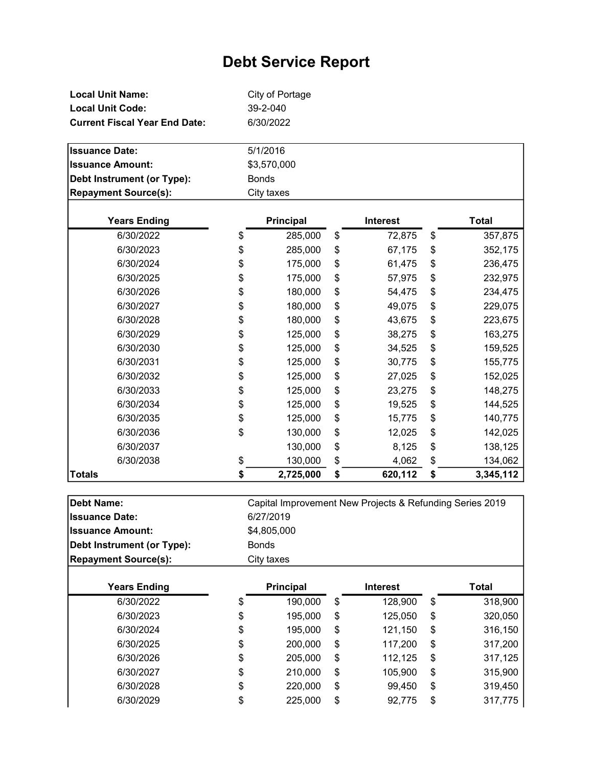| Local Unit Name:                     | City of Portage |
|--------------------------------------|-----------------|
| <b>Local Unit Code:</b>              | 39-2-040        |
| <b>Current Fiscal Year End Date:</b> | 6/30/2022       |

| $M = 1.1$                   | Data a baile in | $1 - 4 - 1 - 1$ | T - 4 - L |
|-----------------------------|-----------------|-----------------|-----------|
| <b>Repayment Source(s):</b> | City taxes      |                 |           |
| Debt Instrument (or Type):  | <b>Bonds</b>    |                 |           |
| <b>Issuance Amount:</b>     | \$3,570,000     |                 |           |
| <b>Issuance Date:</b>       | 5/1/2016        |                 |           |

| <b>Years Ending</b> | <b>Principal</b> | <b>Interest</b> | <b>Total</b>    |
|---------------------|------------------|-----------------|-----------------|
| 6/30/2022           | \$<br>285,000    | \$<br>72,875    | \$<br>357,875   |
| 6/30/2023           | \$<br>285,000    | \$<br>67,175    | \$<br>352,175   |
| 6/30/2024           | \$<br>175,000    | \$<br>61,475    | \$<br>236,475   |
| 6/30/2025           | \$<br>175,000    | \$<br>57,975    | \$<br>232,975   |
| 6/30/2026           | \$<br>180,000    | \$<br>54,475    | \$<br>234,475   |
| 6/30/2027           | \$<br>180,000    | \$<br>49,075    | \$<br>229,075   |
| 6/30/2028           | \$<br>180,000    | \$<br>43,675    | \$<br>223,675   |
| 6/30/2029           | \$<br>125,000    | \$<br>38,275    | \$<br>163,275   |
| 6/30/2030           | \$<br>125,000    | \$<br>34,525    | \$<br>159,525   |
| 6/30/2031           | \$<br>125,000    | \$<br>30,775    | \$<br>155,775   |
| 6/30/2032           | \$<br>125,000    | \$<br>27,025    | \$<br>152,025   |
| 6/30/2033           | \$<br>125,000    | \$<br>23,275    | \$<br>148,275   |
| 6/30/2034           | \$<br>125,000    | \$<br>19,525    | \$<br>144,525   |
| 6/30/2035           | \$<br>125,000    | \$<br>15,775    | \$<br>140,775   |
| 6/30/2036           | \$<br>130,000    | \$<br>12,025    | \$<br>142,025   |
| 6/30/2037           | 130,000          | \$<br>8,125     | \$<br>138,125   |
| 6/30/2038           | \$<br>130,000    | \$<br>4,062     | \$<br>134,062   |
| Totals              | 2,725,000        | \$<br>620,112   | \$<br>3,345,112 |

| <b>Debt Name:</b>           |              | Capital Improvement New Projects & Refunding Series 2019 |    |                 |    |         |  |  |
|-----------------------------|--------------|----------------------------------------------------------|----|-----------------|----|---------|--|--|
| <b>Issuance Date:</b>       |              | 6/27/2019                                                |    |                 |    |         |  |  |
| <b>Issuance Amount:</b>     |              | \$4,805,000                                              |    |                 |    |         |  |  |
| Debt Instrument (or Type):  | <b>Bonds</b> |                                                          |    |                 |    |         |  |  |
| <b>Repayment Source(s):</b> |              | City taxes                                               |    |                 |    |         |  |  |
|                             |              |                                                          |    |                 |    |         |  |  |
| <b>Years Ending</b>         |              | <b>Principal</b>                                         |    | <b>Interest</b> |    | Total   |  |  |
| 6/30/2022                   | \$           | 190,000                                                  | \$ | 128,900         | \$ | 318,900 |  |  |
| 6/30/2023                   | \$           | 195,000                                                  | \$ | 125,050         | \$ | 320,050 |  |  |
| 6/30/2024                   | \$           | 195,000                                                  | \$ | 121,150         | \$ | 316,150 |  |  |
| 6/30/2025                   | \$           | 200,000                                                  | \$ | 117,200         | \$ | 317,200 |  |  |
| 6/30/2026                   | \$           | 205,000                                                  | \$ | 112,125         | \$ | 317,125 |  |  |
| 6/30/2027                   | \$           | 210,000                                                  | \$ | 105,900         | \$ | 315,900 |  |  |
| 6/30/2028                   | \$           | 220,000                                                  | \$ | 99,450          | \$ | 319,450 |  |  |
| 6/30/2029                   | \$           | 225,000                                                  | \$ | 92,775          | \$ | 317,775 |  |  |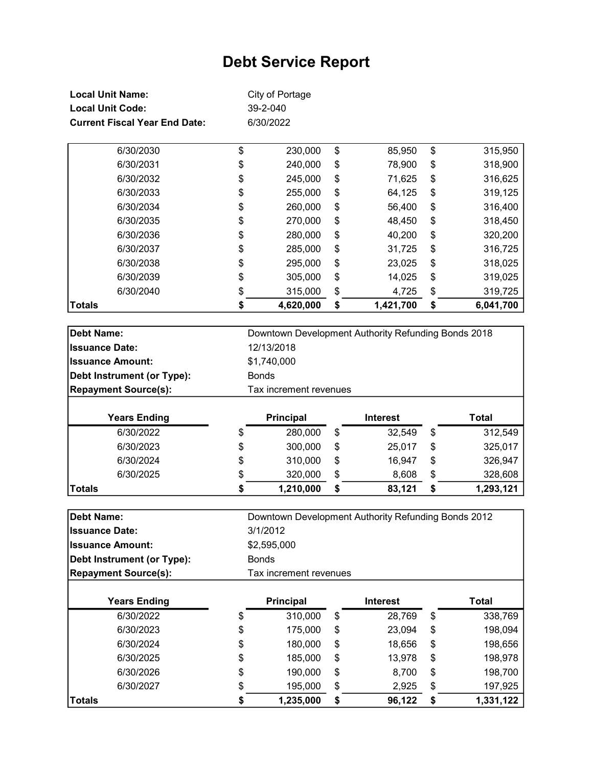| <b>Local Unit Name:</b>              | City of Portage |
|--------------------------------------|-----------------|
| <b>Local Unit Code:</b>              | 39-2-040        |
| <b>Current Fiscal Year End Date:</b> | 6/30/2022       |

| Totals |           | \$<br>4,620,000 | \$<br>1,421,700 | \$<br>6,041,700 |
|--------|-----------|-----------------|-----------------|-----------------|
|        | 6/30/2040 | \$<br>315,000   | \$<br>4,725     | \$<br>319,725   |
|        | 6/30/2039 | \$<br>305,000   | \$<br>14,025    | \$<br>319,025   |
|        | 6/30/2038 | \$<br>295,000   | \$<br>23,025    | \$<br>318,025   |
|        | 6/30/2037 | \$<br>285,000   | \$<br>31,725    | \$<br>316,725   |
|        | 6/30/2036 | \$<br>280,000   | \$<br>40,200    | \$<br>320,200   |
|        | 6/30/2035 | \$<br>270,000   | \$<br>48,450    | \$<br>318,450   |
|        | 6/30/2034 | \$<br>260,000   | \$<br>56,400    | \$<br>316,400   |
|        | 6/30/2033 | \$<br>255,000   | \$<br>64,125    | \$<br>319,125   |
|        | 6/30/2032 | \$<br>245,000   | \$<br>71,625    | \$<br>316,625   |
|        | 6/30/2031 | \$<br>240,000   | \$<br>78,900    | \$<br>318,900   |
|        | 6/30/2030 | \$<br>230,000   | \$<br>85,950    | \$<br>315,950   |

| Debt Name:                  | Downtown Development Authority Refunding Bonds 2018 |                        |    |                 |               |
|-----------------------------|-----------------------------------------------------|------------------------|----|-----------------|---------------|
| <b>Issuance Date:</b>       |                                                     | 12/13/2018             |    |                 |               |
| <b>Issuance Amount:</b>     |                                                     | \$1,740,000            |    |                 |               |
| Debt Instrument (or Type):  | <b>Bonds</b>                                        |                        |    |                 |               |
| <b>Repayment Source(s):</b> |                                                     | Tax increment revenues |    |                 |               |
|                             |                                                     |                        |    |                 |               |
| <b>Years Ending</b>         |                                                     | <b>Principal</b>       |    | <b>Interest</b> | Total         |
| 6/30/2022                   | \$                                                  | 280,000                | \$ | 32,549          | \$<br>312,549 |
|                             |                                                     |                        |    |                 |               |
| 6/30/2023                   | \$                                                  | 300,000                | \$ | 25,017          | \$<br>325,017 |
| 6/30/2024                   | \$                                                  | 310,000                | \$ | 16,947          | \$<br>326,947 |

| Dahi Mamar       |   |                |   | Dountaure Douglapmant Authority Defunding Dendo 2012 |   |                |
|------------------|---|----------------|---|------------------------------------------------------|---|----------------|
|                  |   |                |   |                                                      |   |                |
| <b>Totals</b>    |   | 1,210,000      |   | 83.121                                               |   | l.293.121      |
| <u>UIUUILULU</u> | w | <u>ulu.uuu</u> | ັ | v.vvv                                                | w | <u>ozu.uuu</u> |

| <b>Years Ending</b>         | <b>Principal</b>       | <b>Interest</b>                                     | Total |
|-----------------------------|------------------------|-----------------------------------------------------|-------|
| <b>Repayment Source(s):</b> | Tax increment revenues |                                                     |       |
| Debt Instrument (or Type):  | <b>Bonds</b>           |                                                     |       |
| <b>Issuance Amount:</b>     | \$2,595,000            |                                                     |       |
| <b>Issuance Date:</b>       | 3/1/2012               |                                                     |       |
| Debt Name:                  |                        | Downtown Development Authority Refunding Bonds 2012 |       |

| <b>Years Ending</b> |    | <b>Principal</b> | <b>Interest</b> |    | Total     |
|---------------------|----|------------------|-----------------|----|-----------|
| 6/30/2022           | \$ | 310,000          | \$<br>28,769    | \$ | 338,769   |
| 6/30/2023           | \$ | 175,000          | \$<br>23,094    | \$ | 198,094   |
| 6/30/2024           | \$ | 180,000          | \$<br>18,656    | \$ | 198,656   |
| 6/30/2025           | \$ | 185,000          | \$<br>13,978    | \$ | 198,978   |
| 6/30/2026           | \$ | 190,000          | \$<br>8,700     | \$ | 198,700   |
| 6/30/2027           | \$ | 195,000          | \$<br>2,925     | \$ | 197,925   |
| Totals              | S  | 1,235,000        | \$<br>96,122    | S  | 1,331,122 |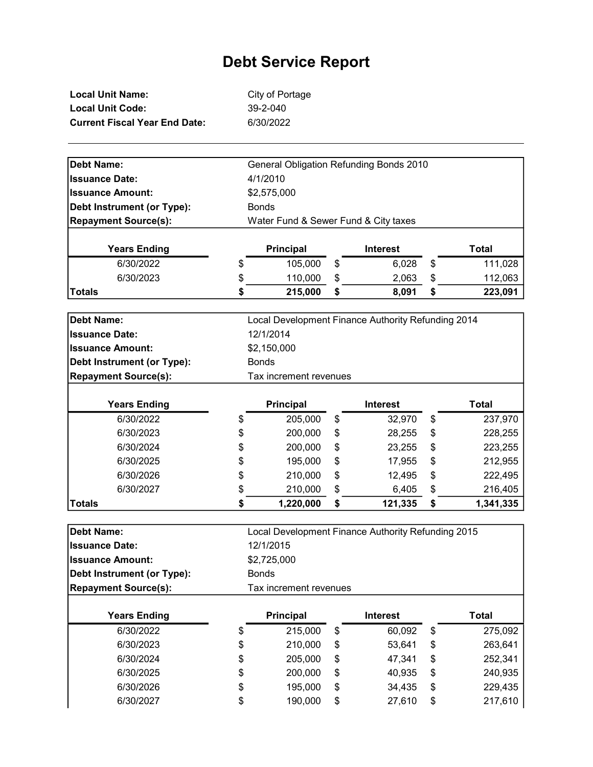| Local Unit Name:                     | City of Portage |
|--------------------------------------|-----------------|
| Local Unit Code:                     | 39-2-040        |
| <b>Current Fiscal Year End Date:</b> | 6/30/2022       |

| <b>Debt Name:</b>           | General Obligation Refunding Bonds 2010 |                                      |    |                                                    |    |              |
|-----------------------------|-----------------------------------------|--------------------------------------|----|----------------------------------------------------|----|--------------|
| <b>Issuance Date:</b>       | 4/1/2010                                |                                      |    |                                                    |    |              |
| <b>Issuance Amount:</b>     | \$2,575,000                             |                                      |    |                                                    |    |              |
| Debt Instrument (or Type):  | <b>Bonds</b>                            |                                      |    |                                                    |    |              |
| <b>Repayment Source(s):</b> |                                         | Water Fund & Sewer Fund & City taxes |    |                                                    |    |              |
|                             |                                         |                                      |    |                                                    |    |              |
| <b>Years Ending</b>         |                                         | <b>Principal</b>                     |    | <b>Interest</b>                                    |    | <b>Total</b> |
| 6/30/2022                   | \$                                      | 105,000                              | \$ | 6,028                                              | \$ | 111,028      |
| 6/30/2023                   | \$                                      | 110,000                              | \$ | 2,063                                              | \$ | 112,063      |
| <b>Totals</b>               | \$                                      | 215,000                              | \$ | 8,091                                              | \$ | 223,091      |
|                             |                                         |                                      |    |                                                    |    |              |
| <b>Debt Name:</b>           |                                         |                                      |    | Local Development Finance Authority Refunding 2014 |    |              |
| <b>Issuance Date:</b>       |                                         | 12/1/2014                            |    |                                                    |    |              |
| <b>Issuance Amount:</b>     |                                         | \$2,150,000                          |    |                                                    |    |              |
| Debt Instrument (or Type):  | <b>Bonds</b>                            |                                      |    |                                                    |    |              |
| <b>Repayment Source(s):</b> |                                         | Tax increment revenues               |    |                                                    |    |              |
| <b>Years Ending</b>         |                                         | Principal                            |    | <b>Interest</b>                                    |    | <b>Total</b> |
| 6/30/2022                   | \$                                      | 205,000                              | \$ | 32,970                                             | \$ | 237,970      |
| 6/30/2023                   | \$                                      | 200,000                              | \$ | 28,255                                             | \$ | 228,255      |
| 6/30/2024                   | \$                                      | 200,000                              | \$ | 23,255                                             | \$ | 223,255      |
| 6/30/2025                   | \$                                      | 195,000                              | \$ | 17,955                                             | \$ | 212,955      |
| 6/30/2026                   | \$                                      | 210,000                              | \$ | 12,495                                             | \$ | 222,495      |
| 6/30/2027                   | \$                                      | 210,000                              | \$ | 6,405                                              | \$ | 216,405      |
| <b>Totals</b>               | \$                                      | 1,220,000                            | \$ | 121,335                                            | \$ | 1,341,335    |
|                             |                                         |                                      |    |                                                    |    |              |
| <b>Debt Name:</b>           |                                         |                                      |    | Local Development Finance Authority Refunding 2015 |    |              |
| <b>Issuance Date:</b>       |                                         | 12/1/2015                            |    |                                                    |    |              |
| <b>Issuance Amount:</b>     |                                         | \$2,725,000                          |    |                                                    |    |              |
| Debt Instrument (or Type):  | <b>Bonds</b>                            |                                      |    |                                                    |    |              |
| <b>Repayment Source(s):</b> |                                         | Tax increment revenues               |    |                                                    |    |              |
| <b>Years Ending</b>         |                                         | <b>Principal</b>                     |    | <b>Interest</b>                                    |    | <b>Total</b> |
| 6/30/2022                   | \$                                      | 215,000                              | \$ | 60,092                                             | \$ | 275,092      |
| 6/30/2023                   | \$                                      | 210,000                              | \$ | 53,641                                             | \$ | 263,641      |
| 6/30/2024                   | \$                                      | 205,000                              | \$ | 47,341                                             | \$ | 252,341      |
| 6/30/2025                   | \$                                      | 200,000                              | \$ | 40,935                                             | \$ | 240,935      |
| 6/30/2026                   | \$                                      | 195,000                              | \$ | 34,435                                             | \$ | 229,435      |
| 6/30/2027                   | \$                                      | 190,000                              | \$ | 27,610                                             | \$ | 217,610      |
|                             |                                         |                                      |    |                                                    |    |              |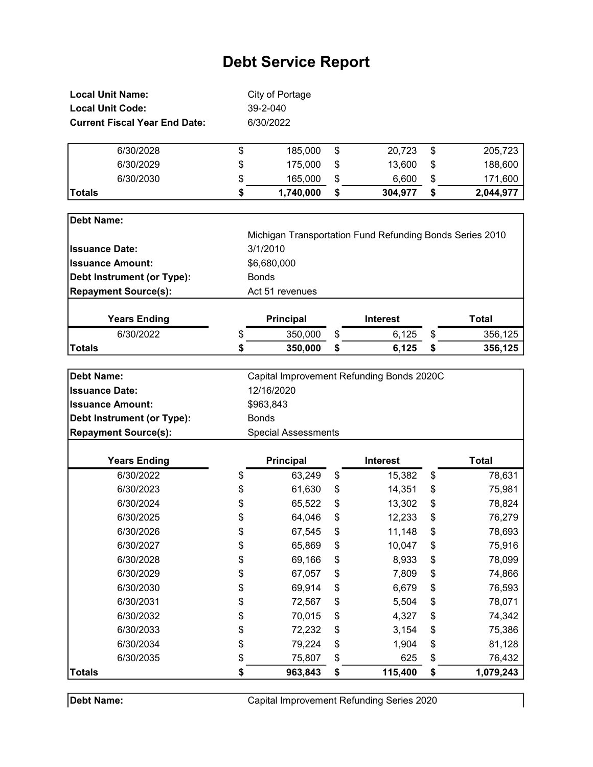| <b>Local Unit Name:</b>              | City of Portage            |                                                          |                 |
|--------------------------------------|----------------------------|----------------------------------------------------------|-----------------|
| <b>Local Unit Code:</b>              | 39-2-040                   |                                                          |                 |
| <b>Current Fiscal Year End Date:</b> | 6/30/2022                  |                                                          |                 |
| 6/30/2028                            | \$<br>185,000              | \$<br>20,723                                             | \$<br>205,723   |
| 6/30/2029                            | \$<br>175,000              | \$<br>13,600                                             | \$<br>188,600   |
| 6/30/2030                            | \$<br>165,000              | \$<br>6,600                                              | \$<br>171,600   |
| <b>Totals</b>                        | \$<br>1,740,000            | \$<br>304,977                                            | \$<br>2,044,977 |
| <b>Debt Name:</b>                    |                            |                                                          |                 |
|                                      |                            | Michigan Transportation Fund Refunding Bonds Series 2010 |                 |
| <b>Issuance Date:</b>                | 3/1/2010                   |                                                          |                 |
| <b>Issuance Amount:</b>              | \$6,680,000                |                                                          |                 |
| Debt Instrument (or Type):           | <b>Bonds</b>               |                                                          |                 |
| <b>Repayment Source(s):</b>          | Act 51 revenues            |                                                          |                 |
| <b>Years Ending</b>                  | Principal                  | <b>Interest</b>                                          | <b>Total</b>    |
| 6/30/2022                            | \$<br>350,000              | \$<br>6,125                                              | \$<br>356,125   |
| <b>Totals</b>                        | \$<br>350,000              | \$<br>6,125                                              | \$<br>356,125   |
|                                      |                            |                                                          |                 |
| <b>Debt Name:</b>                    |                            | Capital Improvement Refunding Bonds 2020C                |                 |
| <b>Issuance Date:</b>                | 12/16/2020                 |                                                          |                 |
| <b>Issuance Amount:</b>              | \$963,843                  |                                                          |                 |
| Debt Instrument (or Type):           | <b>Bonds</b>               |                                                          |                 |
| <b>Repayment Source(s):</b>          | <b>Special Assessments</b> |                                                          |                 |
| <b>Years Ending</b>                  | <b>Principal</b>           | <b>Interest</b>                                          | <b>Total</b>    |
| 6/30/2022                            | \$<br>63,249               | \$<br>15,382                                             | \$<br>78,631    |
| 6/30/2023                            | \$<br>61,630               | \$<br>14,351                                             | \$<br>75,981    |
| 6/30/2024                            | \$<br>65,522               | \$<br>13,302                                             | \$<br>78,824    |
| 6/30/2025                            | \$<br>64,046               | \$<br>12,233                                             | \$<br>76,279    |
| 6/30/2026                            | \$<br>67,545               | \$<br>11,148                                             | \$<br>78,693    |
| 6/30/2027                            | \$<br>65,869               | \$<br>10,047                                             | \$<br>75,916    |
| 6/30/2028                            | \$<br>69,166               | \$<br>8,933                                              | \$<br>78,099    |
| 6/30/2029                            | \$<br>67,057               | \$<br>7,809                                              | \$<br>74,866    |
| 6/30/2030                            | \$<br>69,914               | \$<br>6,679                                              | \$<br>76,593    |
| 6/30/2031                            | \$<br>72,567               | \$<br>5,504                                              | \$<br>78,071    |
| 6/30/2032                            | \$<br>70,015               | \$<br>4,327                                              | \$<br>74,342    |
| 6/30/2033                            | \$<br>72,232               | \$<br>3,154                                              | \$<br>75,386    |
| 6/30/2034                            | \$<br>79,224               | \$<br>1,904                                              | \$<br>81,128    |
| 6/30/2035                            | \$<br>75,807               | \$<br>625                                                | \$<br>76,432    |
| <b>Totals</b>                        | \$<br>963,843              | \$<br>115,400                                            | \$<br>1,079,243 |

Debt Name:

Capital Improvement Refunding Series 2020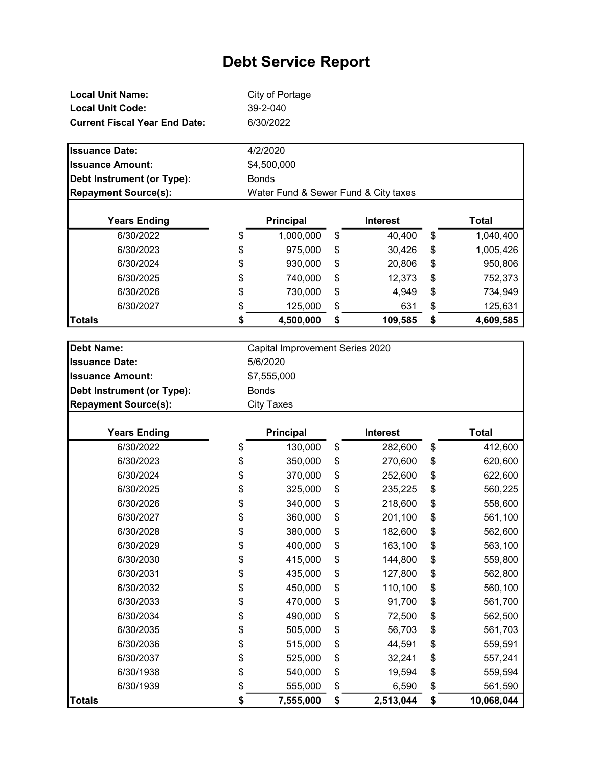| Local Unit Name:                     | City of Portage |
|--------------------------------------|-----------------|
| <b>Local Unit Code:</b>              | 39-2-040        |
| <b>Current Fiscal Year End Date:</b> | 6/30/2022       |

| <b>Issuance Date:</b>       | 4/2/2020                             |                 |                 |
|-----------------------------|--------------------------------------|-----------------|-----------------|
| <b>Issuance Amount:</b>     | \$4,500,000                          |                 |                 |
| Debt Instrument (or Type):  | <b>Bonds</b>                         |                 |                 |
| <b>Repayment Source(s):</b> | Water Fund & Sewer Fund & City taxes |                 |                 |
|                             |                                      |                 |                 |
| <b>Years Ending</b>         | Principal                            | <b>Interest</b> | Total           |
| 6/30/2022                   | \$<br>1,000,000                      | \$<br>40,400    | \$<br>1,040,400 |
| 6/30/2023                   | \$<br>975,000                        | \$<br>30,426    | \$<br>1,005,426 |
| 6/30/2024                   | \$<br>930,000                        | \$<br>20,806    | \$<br>950,806   |
| 6/30/2025                   | \$<br>740,000                        | \$<br>12,373    | \$<br>752,373   |
| 6/30/2026                   | \$<br>730,000                        | \$<br>4,949     | \$<br>734,949   |
| 6/30/2027                   | \$<br>125,000                        | \$<br>631       | \$<br>125,631   |
| Totals                      | \$<br>4,500,000                      | \$<br>109,585   | \$<br>4,609,585 |

| Debt Name:                  | Capital Improvement Series 2020 |
|-----------------------------|---------------------------------|
| <b>Issuance Date:</b>       | 5/6/2020                        |
| <b>Issuance Amount:</b>     | \$7,555,000                     |
| Debt Instrument (or Type):  | <b>Bonds</b>                    |
| <b>Repayment Source(s):</b> | City Taxes                      |

| <b>Years Ending</b> | <b>Principal</b> | <b>Interest</b> | <b>Total</b>     |
|---------------------|------------------|-----------------|------------------|
| 6/30/2022           | \$<br>130,000    | \$<br>282,600   | \$<br>412,600    |
| 6/30/2023           | \$<br>350,000    | \$<br>270,600   | \$<br>620,600    |
| 6/30/2024           | \$<br>370,000    | \$<br>252,600   | \$<br>622,600    |
| 6/30/2025           | \$<br>325,000    | \$<br>235,225   | \$<br>560,225    |
| 6/30/2026           | \$<br>340,000    | \$<br>218,600   | \$<br>558,600    |
| 6/30/2027           | \$<br>360,000    | \$<br>201,100   | \$<br>561,100    |
| 6/30/2028           | \$<br>380,000    | \$<br>182,600   | \$<br>562,600    |
| 6/30/2029           | \$<br>400,000    | \$<br>163,100   | \$<br>563,100    |
| 6/30/2030           | \$<br>415,000    | \$<br>144,800   | \$<br>559,800    |
| 6/30/2031           | \$<br>435,000    | \$<br>127,800   | \$<br>562,800    |
| 6/30/2032           | \$<br>450,000    | \$<br>110,100   | \$<br>560,100    |
| 6/30/2033           | \$<br>470,000    | \$<br>91,700    | \$<br>561,700    |
| 6/30/2034           | \$<br>490,000    | \$<br>72,500    | \$<br>562,500    |
| 6/30/2035           | \$<br>505,000    | \$<br>56,703    | \$<br>561,703    |
| 6/30/2036           | \$<br>515,000    | \$<br>44,591    | \$<br>559,591    |
| 6/30/2037           | \$<br>525,000    | \$<br>32,241    | \$<br>557,241    |
| 6/30/1938           | \$<br>540,000    | \$<br>19,594    | \$<br>559,594    |
| 6/30/1939           | \$<br>555,000    | \$<br>6,590     | \$<br>561,590    |
| <b>Totals</b>       | \$<br>7,555,000  | \$<br>2,513,044 | \$<br>10,068,044 |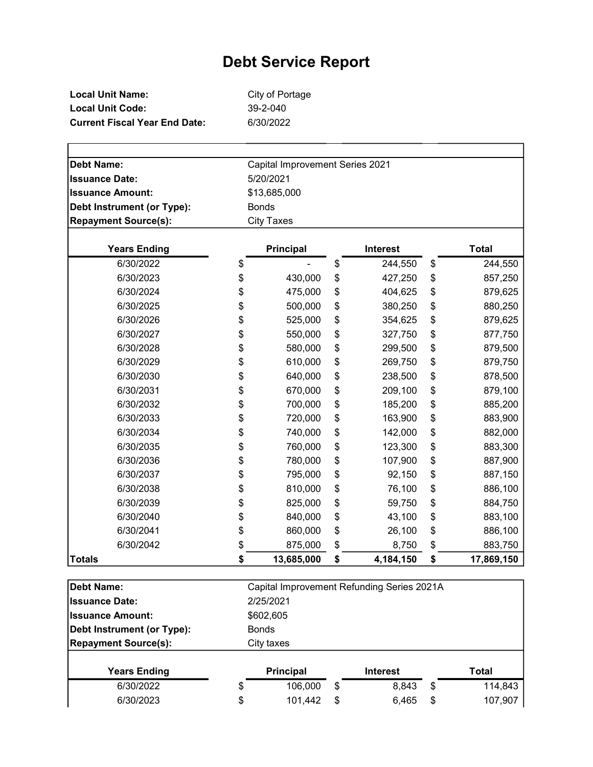| Local Unit Name:                     | City of Portage |
|--------------------------------------|-----------------|
| Local Unit Code:                     | 39-2-040        |
| <b>Current Fiscal Year End Date:</b> | 6/30/2022       |

| <b>Debt Name:</b>                 |                                 |                  |    |                                            |    |              |  |  |  |
|-----------------------------------|---------------------------------|------------------|----|--------------------------------------------|----|--------------|--|--|--|
|                                   | Capital Improvement Series 2021 |                  |    |                                            |    |              |  |  |  |
| <b>Issuance Date:</b>             |                                 | 5/20/2021        |    |                                            |    |              |  |  |  |
| <b>Issuance Amount:</b>           | \$13,685,000<br><b>Bonds</b>    |                  |    |                                            |    |              |  |  |  |
| <b>Debt Instrument (or Type):</b> |                                 |                  |    |                                            |    |              |  |  |  |
| <b>Repayment Source(s):</b>       | <b>City Taxes</b>               |                  |    |                                            |    |              |  |  |  |
| <b>Years Ending</b>               |                                 | <b>Principal</b> |    | <b>Interest</b>                            |    | <b>Total</b> |  |  |  |
| 6/30/2022                         | \$                              |                  | \$ | 244,550                                    | \$ | 244,550      |  |  |  |
| 6/30/2023                         | \$                              | 430,000          | \$ | 427,250                                    | \$ | 857,250      |  |  |  |
| 6/30/2024                         | \$                              | 475,000          | \$ | 404,625                                    | \$ | 879,625      |  |  |  |
| 6/30/2025                         | \$                              | 500,000          | \$ | 380,250                                    | \$ | 880,250      |  |  |  |
| 6/30/2026                         | \$                              | 525,000          | \$ | 354,625                                    | \$ | 879,625      |  |  |  |
| 6/30/2027                         | \$                              | 550,000          | \$ | 327,750                                    | \$ | 877,750      |  |  |  |
| 6/30/2028                         | \$                              | 580,000          | \$ | 299,500                                    | \$ | 879,500      |  |  |  |
| 6/30/2029                         | \$                              | 610,000          | \$ | 269,750                                    | \$ | 879,750      |  |  |  |
| 6/30/2030                         | \$                              | 640,000          | \$ | 238,500                                    | \$ | 878,500      |  |  |  |
| 6/30/2031                         | \$                              | 670,000          | \$ | 209,100                                    | \$ | 879,100      |  |  |  |
| 6/30/2032                         | \$                              | 700,000          | \$ | 185,200                                    | \$ | 885,200      |  |  |  |
| 6/30/2033                         | \$                              | 720,000          | \$ | 163,900                                    | \$ | 883,900      |  |  |  |
| 6/30/2034                         | \$                              | 740,000          | \$ | 142,000                                    | \$ | 882,000      |  |  |  |
| 6/30/2035                         | \$                              | 760,000          | \$ | 123,300                                    | \$ | 883,300      |  |  |  |
| 6/30/2036                         | \$                              | 780,000          | \$ | 107,900                                    | \$ | 887,900      |  |  |  |
| 6/30/2037                         | \$                              | 795,000          | \$ | 92,150                                     | \$ | 887,150      |  |  |  |
| 6/30/2038                         | \$                              | 810,000          | \$ | 76,100                                     | \$ | 886,100      |  |  |  |
| 6/30/2039                         | \$                              | 825,000          | \$ | 59,750                                     | \$ | 884,750      |  |  |  |
| 6/30/2040                         | \$                              | 840,000          | \$ | 43,100                                     | \$ | 883,100      |  |  |  |
| 6/30/2041                         | \$                              | 860,000          | \$ | 26,100                                     | \$ | 886,100      |  |  |  |
| 6/30/2042                         | \$                              | 875,000          | \$ | 8,750                                      | \$ | 883,750      |  |  |  |
| <b>Totals</b>                     | \$                              | 13,685,000       | \$ | 4,184,150                                  | \$ | 17,869,150   |  |  |  |
| <b>Debt Name:</b>                 |                                 |                  |    | Capital Improvement Refunding Series 2021A |    |              |  |  |  |
| <b>Issuance Date:</b>             | 2/25/2021                       |                  |    |                                            |    |              |  |  |  |
| <b>Issuance Amount:</b>           |                                 | \$602,605        |    |                                            |    |              |  |  |  |
| Debt Instrument (or Type):        | <b>Bonds</b>                    |                  |    |                                            |    |              |  |  |  |
| <b>Repayment Source(s):</b>       |                                 | City taxes       |    |                                            |    |              |  |  |  |
|                                   |                                 |                  |    |                                            |    |              |  |  |  |
| <b>Years Ending</b>               |                                 | <b>Principal</b> |    | <b>Interest</b>                            |    | <b>Total</b> |  |  |  |

 $6/30/2022$  \$ 106,000 \$ 8,843 \$ 114,843 6/30/2023 \$ 101,442 \$ 6,465 \$ 107,907